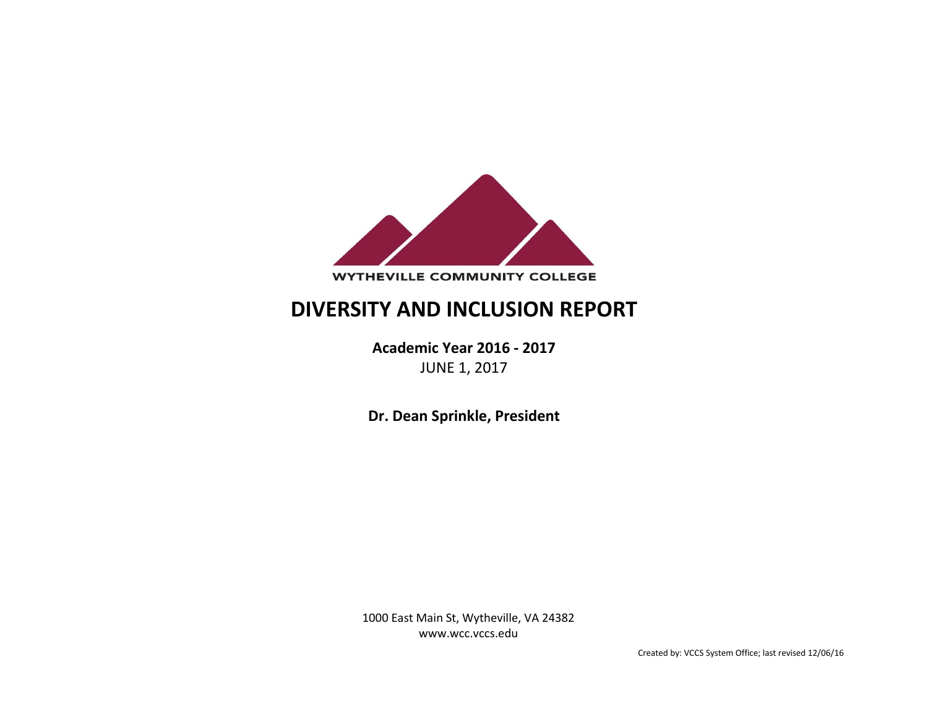

# **DIVERSITY AND INCLUSION REPORT**

**Academic Year 2016 - 2017** JUNE 1, 2017

**Dr. Dean Sprinkle, President**

1000 East Main St, Wytheville, VA 24382 www.wcc.vccs.edu

Created by: VCCS System Office; last revised 12/06/16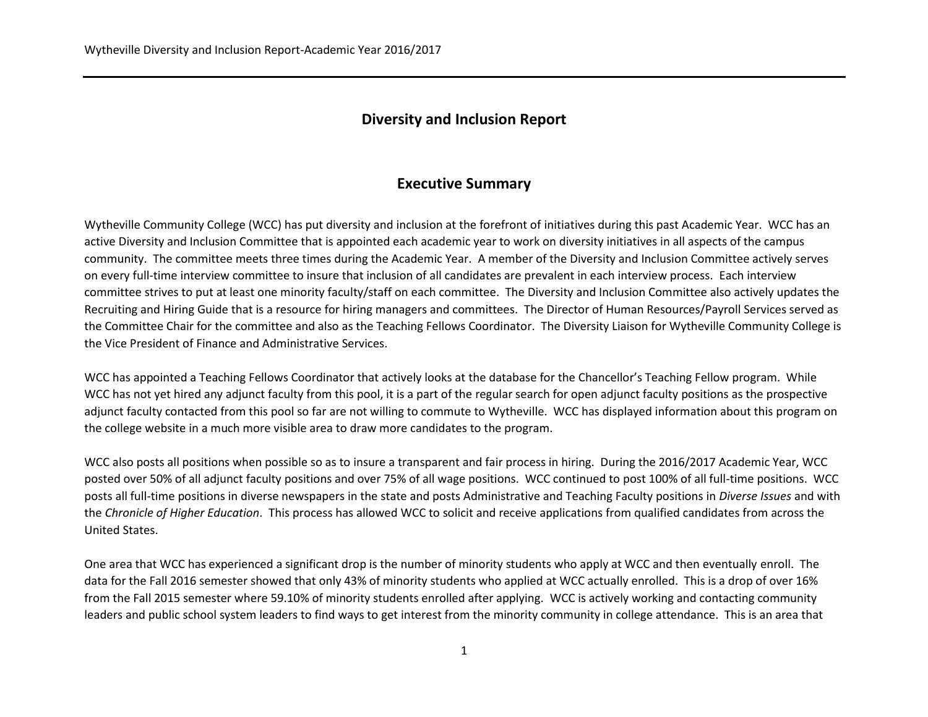### **Diversity and Inclusion Report**

## **Executive Summary**

Wytheville Community College (WCC) has put diversity and inclusion at the forefront of initiatives during this past Academic Year. WCC has an active Diversity and Inclusion Committee that is appointed each academic year to work on diversity initiatives in all aspects of the campus community. The committee meets three times during the Academic Year. A member of the Diversity and Inclusion Committee actively serves on every full-time interview committee to insure that inclusion of all candidates are prevalent in each interview process. Each interview committee strives to put at least one minority faculty/staff on each committee. The Diversity and Inclusion Committee also actively updates the Recruiting and Hiring Guide that is a resource for hiring managers and committees. The Director of Human Resources/Payroll Services served as the Committee Chair for the committee and also as the Teaching Fellows Coordinator. The Diversity Liaison for Wytheville Community College is the Vice President of Finance and Administrative Services.

WCC has appointed a Teaching Fellows Coordinator that actively looks at the database for the Chancellor's Teaching Fellow program. While WCC has not yet hired any adjunct faculty from this pool, it is a part of the regular search for open adjunct faculty positions as the prospective adjunct faculty contacted from this pool so far are not willing to commute to Wytheville. WCC has displayed information about this program on the college website in a much more visible area to draw more candidates to the program.

WCC also posts all positions when possible so as to insure a transparent and fair process in hiring. During the 2016/2017 Academic Year, WCC posted over 50% of all adjunct faculty positions and over 75% of all wage positions. WCC continued to post 100% of all full-time positions. WCC posts all full-time positions in diverse newspapers in the state and posts Administrative and Teaching Faculty positions in *Diverse Issues* and with the *Chronicle of Higher Education*. This process has allowed WCC to solicit and receive applications from qualified candidates from across the United States.

One area that WCC has experienced a significant drop is the number of minority students who apply at WCC and then eventually enroll. The data for the Fall 2016 semester showed that only 43% of minority students who applied at WCC actually enrolled. This is a drop of over 16% from the Fall 2015 semester where 59.10% of minority students enrolled after applying. WCC is actively working and contacting community leaders and public school system leaders to find ways to get interest from the minority community in college attendance. This is an area that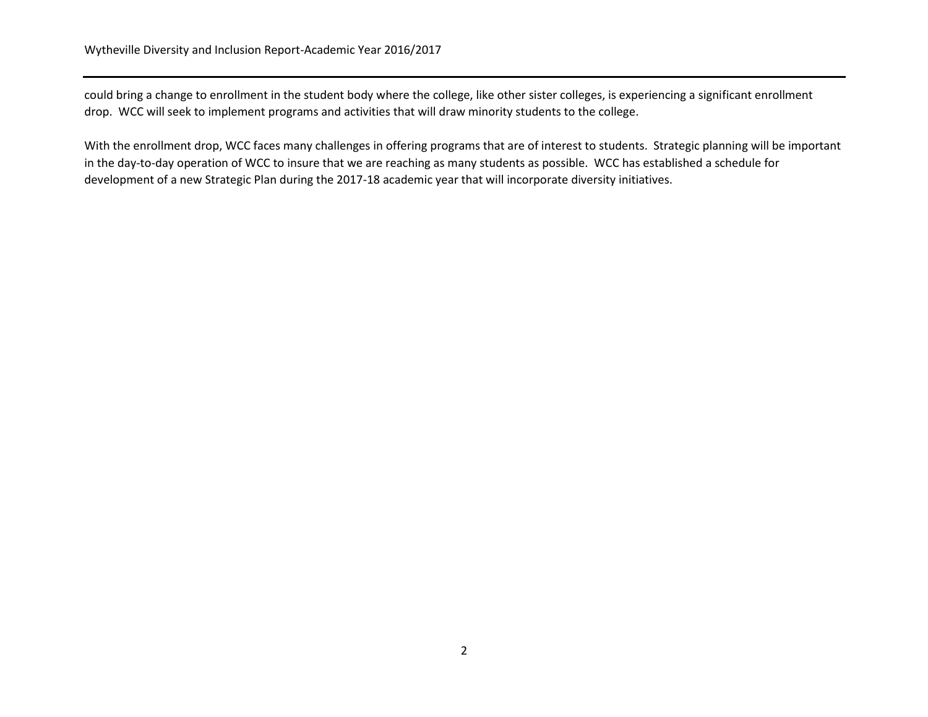could bring a change to enrollment in the student body where the college, like other sister colleges, is experiencing a significant enrollment drop. WCC will seek to implement programs and activities that will draw minority students to the college.

With the enrollment drop, WCC faces many challenges in offering programs that are of interest to students. Strategic planning will be important in the day-to-day operation of WCC to insure that we are reaching as many students as possible. WCC has established a schedule for development of a new Strategic Plan during the 2017-18 academic year that will incorporate diversity initiatives.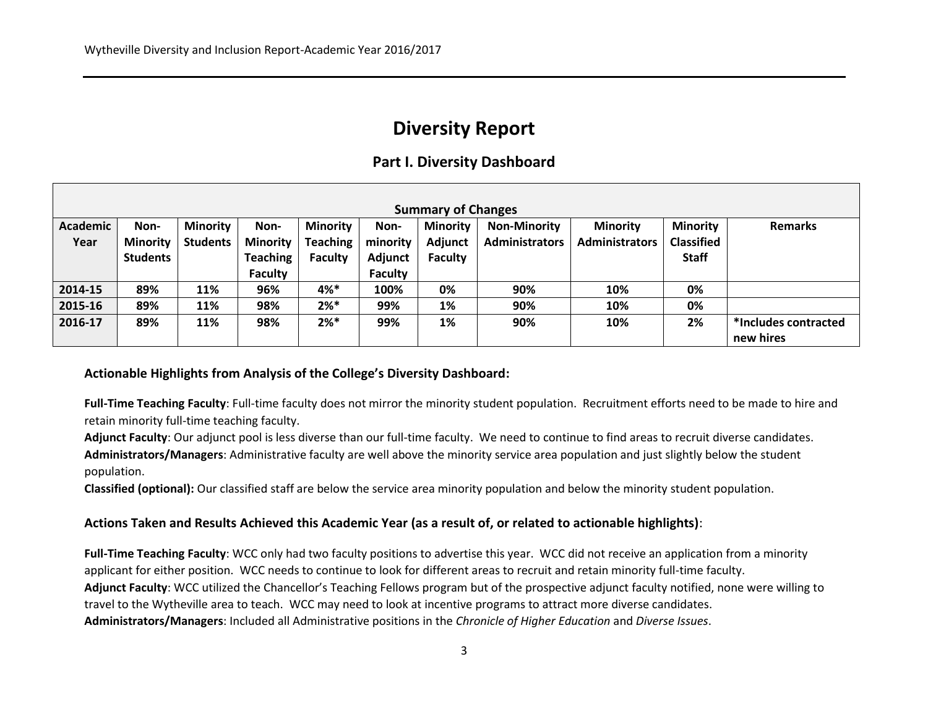# **Diversity Report**

## **Part I. Diversity Dashboard**

| <b>Summary of Changes</b> |                 |                 |                 |                 |                |                 |                       |                       |                   |                      |
|---------------------------|-----------------|-----------------|-----------------|-----------------|----------------|-----------------|-----------------------|-----------------------|-------------------|----------------------|
| Academic                  | Non-            | <b>Minority</b> | Non-            | <b>Minority</b> | Non-           | <b>Minority</b> | <b>Non-Minority</b>   | <b>Minority</b>       | <b>Minority</b>   | <b>Remarks</b>       |
| Year                      | <b>Minority</b> | <b>Students</b> | <b>Minority</b> | <b>Teaching</b> | minority       | Adjunct         | <b>Administrators</b> | <b>Administrators</b> | <b>Classified</b> |                      |
|                           | <b>Students</b> |                 | <b>Teaching</b> | <b>Faculty</b>  | Adjunct        | Faculty         |                       |                       | <b>Staff</b>      |                      |
|                           |                 |                 | <b>Faculty</b>  |                 | <b>Faculty</b> |                 |                       |                       |                   |                      |
| 2014-15                   | 89%             | 11%             | 96%             | 4%*             | 100%           | 0%              | 90%                   | 10%                   | 0%                |                      |
| 2015-16                   | 89%             | 11%             | 98%             | $2%*$           | 99%            | 1%              | 90%                   | 10%                   | 0%                |                      |
| 2016-17                   | 89%             | 11%             | 98%             | $2\% *$         | 99%            | 1%              | 90%                   | 10%                   | 2%                | *Includes contracted |
|                           |                 |                 |                 |                 |                |                 |                       |                       |                   | new hires            |

### **Actionable Highlights from Analysis of the College's Diversity Dashboard:**

**Full-Time Teaching Faculty**: Full-time faculty does not mirror the minority student population. Recruitment efforts need to be made to hire and retain minority full-time teaching faculty.

**Adjunct Faculty**: Our adjunct pool is less diverse than our full-time faculty. We need to continue to find areas to recruit diverse candidates. **Administrators/Managers**: Administrative faculty are well above the minority service area population and just slightly below the student population.

**Classified (optional):** Our classified staff are below the service area minority population and below the minority student population.

### **Actions Taken and Results Achieved this Academic Year (as a result of, or related to actionable highlights)**:

**Full-Time Teaching Faculty**: WCC only had two faculty positions to advertise this year. WCC did not receive an application from a minority applicant for either position. WCC needs to continue to look for different areas to recruit and retain minority full-time faculty. **Adjunct Faculty**: WCC utilized the Chancellor's Teaching Fellows program but of the prospective adjunct faculty notified, none were willing to travel to the Wytheville area to teach. WCC may need to look at incentive programs to attract more diverse candidates. **Administrators/Managers**: Included all Administrative positions in the *Chronicle of Higher Education* and *Diverse Issues*.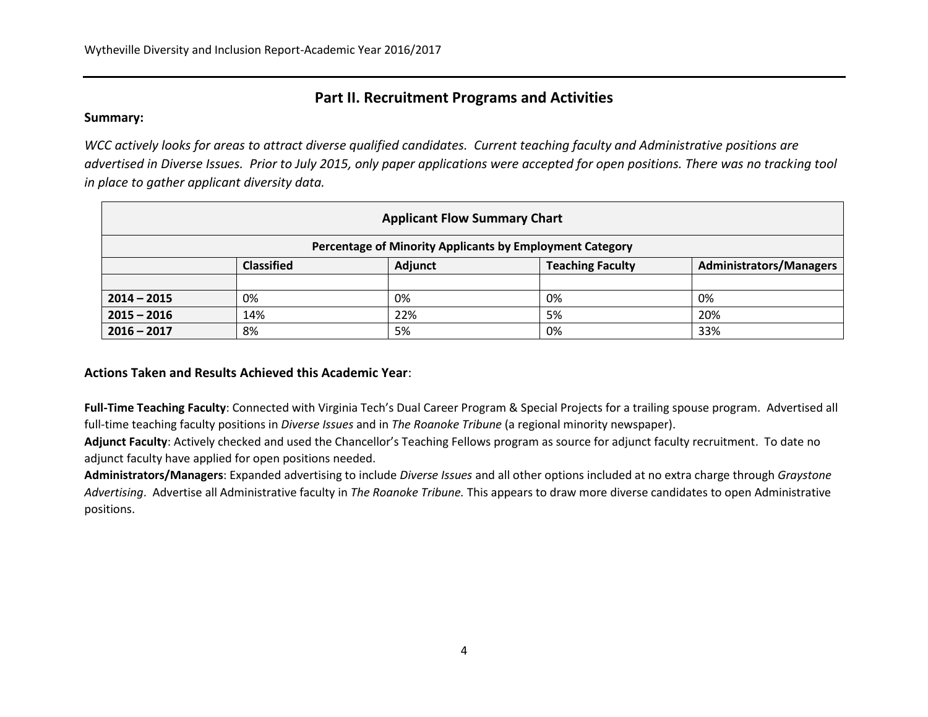# **Part II. Recruitment Programs and Activities**

### **Summary:**

*WCC actively looks for areas to attract diverse qualified candidates. Current teaching faculty and Administrative positions are advertised in Diverse Issues. Prior to July 2015, only paper applications were accepted for open positions. There was no tracking tool in place to gather applicant diversity data.*

| <b>Applicant Flow Summary Chart</b>                      |                                                                                           |     |    |     |  |  |
|----------------------------------------------------------|-------------------------------------------------------------------------------------------|-----|----|-----|--|--|
| Percentage of Minority Applicants by Employment Category |                                                                                           |     |    |     |  |  |
|                                                          | <b>Teaching Faculty</b><br><b>Classified</b><br>Adjunct<br><b>Administrators/Managers</b> |     |    |     |  |  |
|                                                          |                                                                                           |     |    |     |  |  |
| $2014 - 2015$                                            | 0%                                                                                        | 0%  | 0% | 0%  |  |  |
| $2015 - 2016$                                            | 14%                                                                                       | 22% | 5% | 20% |  |  |
| $2016 - 2017$                                            | 8%                                                                                        | 5%  | 0% | 33% |  |  |

**Actions Taken and Results Achieved this Academic Year**:

**Full-Time Teaching Faculty**: Connected with Virginia Tech's Dual Career Program & Special Projects for a trailing spouse program. Advertised all full-time teaching faculty positions in *Diverse Issues* and in *The Roanoke Tribune* (a regional minority newspaper).

**Adjunct Faculty**: Actively checked and used the Chancellor's Teaching Fellows program as source for adjunct faculty recruitment. To date no adjunct faculty have applied for open positions needed.

**Administrators/Managers**: Expanded advertising to include *Diverse Issues* and all other options included at no extra charge through *Graystone Advertising*. Advertise all Administrative faculty in *The Roanoke Tribune.* This appears to draw more diverse candidates to open Administrative positions.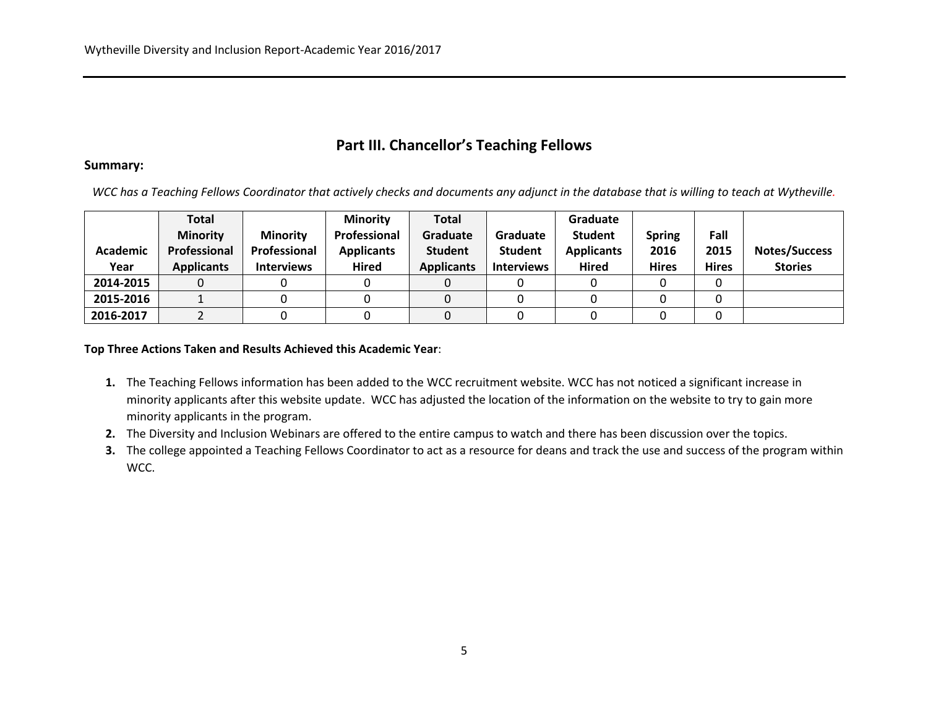# **Part III. Chancellor's Teaching Fellows**

#### **Summary:**

*WCC has a Teaching Fellows Coordinator that actively checks and documents any adjunct in the database that is willing to teach at Wytheville.* 

|           | Total             |                   | <b>Minority</b>   | Total             |                   | Graduate          |               |              |                |
|-----------|-------------------|-------------------|-------------------|-------------------|-------------------|-------------------|---------------|--------------|----------------|
|           | <b>Minority</b>   | <b>Minority</b>   | Professional      | Graduate          | Graduate          | <b>Student</b>    | <b>Spring</b> | Fall         |                |
| Academic  | Professional      | Professional      | <b>Applicants</b> | <b>Student</b>    | <b>Student</b>    | <b>Applicants</b> | 2016          | 2015         | Notes/Success  |
| Year      | <b>Applicants</b> | <b>Interviews</b> | <b>Hired</b>      | <b>Applicants</b> | <b>Interviews</b> | <b>Hired</b>      | <b>Hires</b>  | <b>Hires</b> | <b>Stories</b> |
| 2014-2015 |                   |                   |                   |                   |                   |                   |               |              |                |
| 2015-2016 |                   |                   |                   |                   |                   |                   |               |              |                |
| 2016-2017 |                   |                   |                   |                   |                   |                   |               |              |                |

#### **Top Three Actions Taken and Results Achieved this Academic Year**:

- **1.** The Teaching Fellows information has been added to the WCC recruitment website. WCC has not noticed a significant increase in minority applicants after this website update. WCC has adjusted the location of the information on the website to try to gain more minority applicants in the program.
- **2.** The Diversity and Inclusion Webinars are offered to the entire campus to watch and there has been discussion over the topics.
- **3.** The college appointed a Teaching Fellows Coordinator to act as a resource for deans and track the use and success of the program within WCC.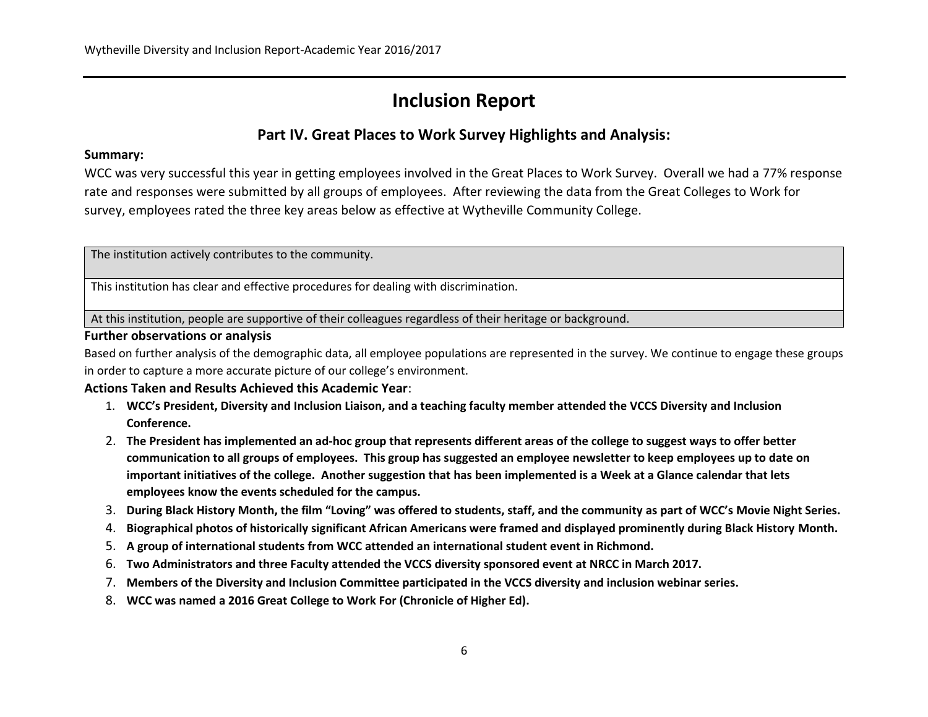# **Inclusion Report**

## **Part IV. Great Places to Work Survey Highlights and Analysis:**

### **Summary:**

WCC was very successful this year in getting employees involved in the Great Places to Work Survey. Overall we had a 77% response rate and responses were submitted by all groups of employees. After reviewing the data from the Great Colleges to Work for survey, employees rated the three key areas below as effective at Wytheville Community College.

The institution actively contributes to the community.

This institution has clear and effective procedures for dealing with discrimination.

At this institution, people are supportive of their colleagues regardless of their heritage or background.

### **Further observations or analysis**

Based on further analysis of the demographic data, all employee populations are represented in the survey. We continue to engage these groups in order to capture a more accurate picture of our college's environment.

### **Actions Taken and Results Achieved this Academic Year**:

- 1. **WCC's President, Diversity and Inclusion Liaison, and a teaching faculty member attended the VCCS Diversity and Inclusion Conference.**
- 2. **The President has implemented an ad-hoc group that represents different areas of the college to suggest ways to offer better communication to all groups of employees. This group has suggested an employee newsletter to keep employees up to date on important initiatives of the college. Another suggestion that has been implemented is a Week at a Glance calendar that lets employees know the events scheduled for the campus.**
- 3. **During Black History Month, the film "Loving" was offered to students, staff, and the community as part of WCC's Movie Night Series.**
- 4. **Biographical photos of historically significant African Americans were framed and displayed prominently during Black History Month.**
- 5. **A group of international students from WCC attended an international student event in Richmond.**
- 6. **Two Administrators and three Faculty attended the VCCS diversity sponsored event at NRCC in March 2017.**
- 7. **Members of the Diversity and Inclusion Committee participated in the VCCS diversity and inclusion webinar series.**
- 8. **WCC was named a 2016 Great College to Work For (Chronicle of Higher Ed).**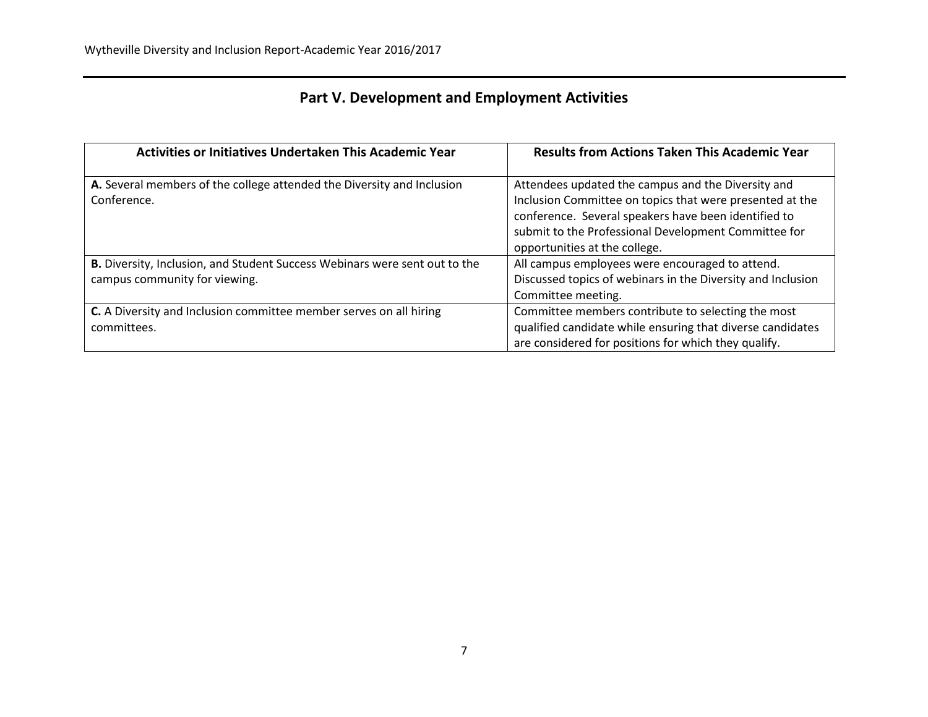|  |  | <b>Part V. Development and Employment Activities</b> |
|--|--|------------------------------------------------------|
|--|--|------------------------------------------------------|

| Activities or Initiatives Undertaken This Academic Year                                                            | <b>Results from Actions Taken This Academic Year</b>                                                                                                                                                                                                            |
|--------------------------------------------------------------------------------------------------------------------|-----------------------------------------------------------------------------------------------------------------------------------------------------------------------------------------------------------------------------------------------------------------|
| A. Several members of the college attended the Diversity and Inclusion<br>Conference.                              | Attendees updated the campus and the Diversity and<br>Inclusion Committee on topics that were presented at the<br>conference. Several speakers have been identified to<br>submit to the Professional Development Committee for<br>opportunities at the college. |
| <b>B.</b> Diversity, Inclusion, and Student Success Webinars were sent out to the<br>campus community for viewing. | All campus employees were encouraged to attend.<br>Discussed topics of webinars in the Diversity and Inclusion<br>Committee meeting.                                                                                                                            |
| C. A Diversity and Inclusion committee member serves on all hiring<br>committees.                                  | Committee members contribute to selecting the most<br>qualified candidate while ensuring that diverse candidates<br>are considered for positions for which they qualify.                                                                                        |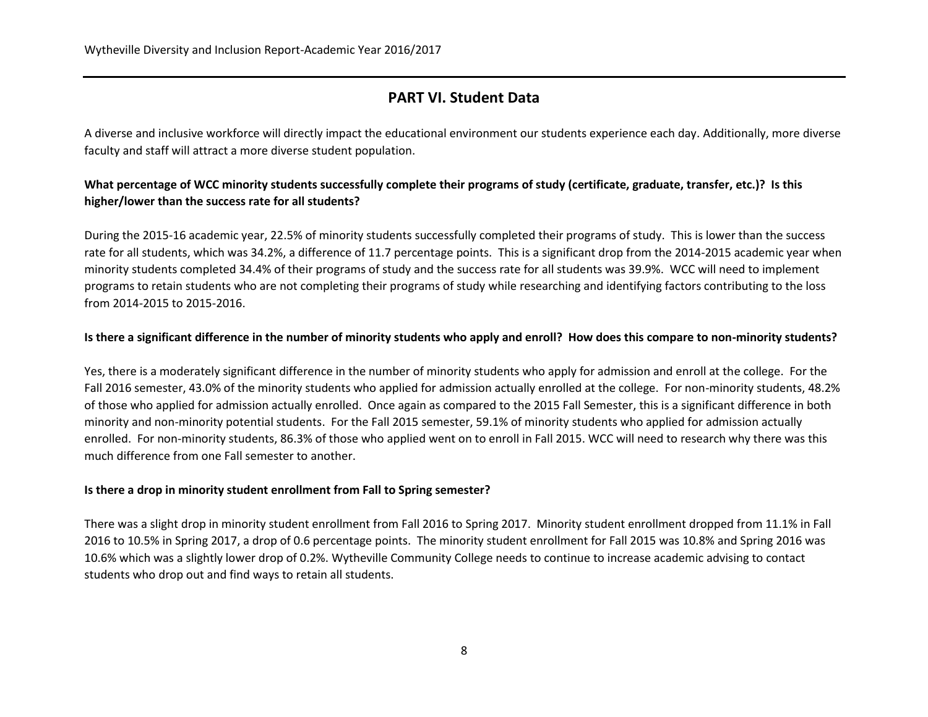## **PART VI. Student Data**

A diverse and inclusive workforce will directly impact the educational environment our students experience each day. Additionally, more diverse faculty and staff will attract a more diverse student population.

## **What percentage of WCC minority students successfully complete their programs of study (certificate, graduate, transfer, etc.)? Is this higher/lower than the success rate for all students?**

During the 2015-16 academic year, 22.5% of minority students successfully completed their programs of study. This is lower than the success rate for all students, which was 34.2%, a difference of 11.7 percentage points. This is a significant drop from the 2014-2015 academic year when minority students completed 34.4% of their programs of study and the success rate for all students was 39.9%. WCC will need to implement programs to retain students who are not completing their programs of study while researching and identifying factors contributing to the loss from 2014-2015 to 2015-2016.

### **Is there a significant difference in the number of minority students who apply and enroll? How does this compare to non-minority students?**

Yes, there is a moderately significant difference in the number of minority students who apply for admission and enroll at the college. For the Fall 2016 semester, 43.0% of the minority students who applied for admission actually enrolled at the college. For non-minority students, 48.2% of those who applied for admission actually enrolled. Once again as compared to the 2015 Fall Semester, this is a significant difference in both minority and non-minority potential students. For the Fall 2015 semester, 59.1% of minority students who applied for admission actually enrolled. For non-minority students, 86.3% of those who applied went on to enroll in Fall 2015. WCC will need to research why there was this much difference from one Fall semester to another.

### **Is there a drop in minority student enrollment from Fall to Spring semester?**

There was a slight drop in minority student enrollment from Fall 2016 to Spring 2017. Minority student enrollment dropped from 11.1% in Fall 2016 to 10.5% in Spring 2017, a drop of 0.6 percentage points. The minority student enrollment for Fall 2015 was 10.8% and Spring 2016 was 10.6% which was a slightly lower drop of 0.2%. Wytheville Community College needs to continue to increase academic advising to contact students who drop out and find ways to retain all students.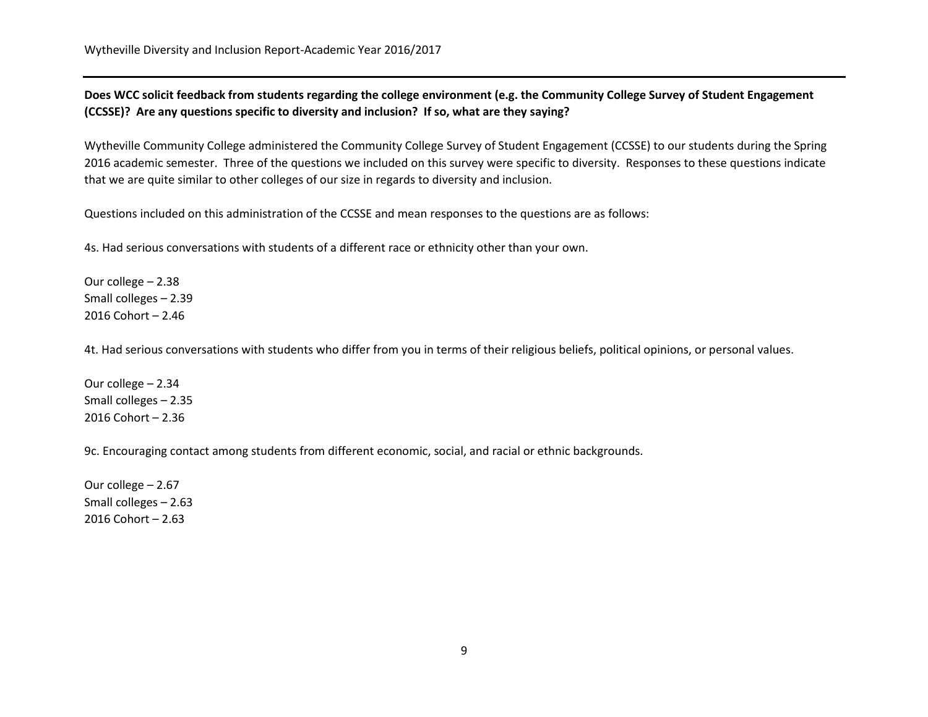**Does WCC solicit feedback from students regarding the college environment (e.g. the Community College Survey of Student Engagement (CCSSE)? Are any questions specific to diversity and inclusion? If so, what are they saying?**

Wytheville Community College administered the Community College Survey of Student Engagement (CCSSE) to our students during the Spring 2016 academic semester. Three of the questions we included on this survey were specific to diversity. Responses to these questions indicate that we are quite similar to other colleges of our size in regards to diversity and inclusion.

Questions included on this administration of the CCSSE and mean responses to the questions are as follows:

4s. Had serious conversations with students of a different race or ethnicity other than your own.

Our college – 2.38 Small colleges – 2.39 2016 Cohort – 2.46

4t. Had serious conversations with students who differ from you in terms of their religious beliefs, political opinions, or personal values.

Our college – 2.34 Small colleges – 2.35 2016 Cohort – 2.36

9c. Encouraging contact among students from different economic, social, and racial or ethnic backgrounds.

Our college – 2.67 Small colleges – 2.63 2016 Cohort – 2.63